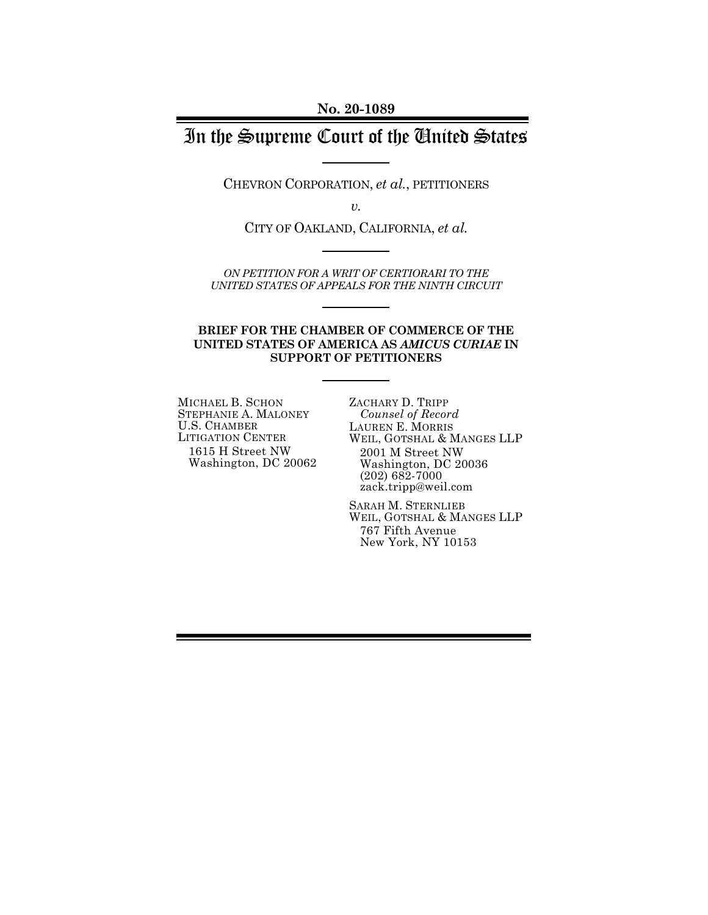**No. 20-1089** 

# In the Supreme Court of the United States

CHEVRON CORPORATION, *et al.*, PETITIONERS

*v.* 

CITY OF OAKLAND, CALIFORNIA, *et al.*

*ON PETITION FOR A WRIT OF CERTIORARI TO THE UNITED STATES OF APPEALS FOR THE NINTH CIRCUIT* 

#### **BRIEF FOR THE CHAMBER OF COMMERCE OF THE UNITED STATES OF AMERICA AS** *AMICUS CURIAE* **IN SUPPORT OF PETITIONERS**

MICHAEL B. SCHON STEPHANIE A. MALONEY U.S. CHAMBER LITIGATION CENTER 1615 H Street NW Washington, DC 20062 ZACHARY D. TRIPP *Counsel of Record*  LAUREN E. MORRIS WEIL, GOTSHAL & MANGES LLP 2001 M Street NW Washington, DC 20036 (202) 682-7000 zack.tripp@weil.com

SARAH M. STERNLIEB WEIL, GOTSHAL & MANGES LLP 767 Fifth Avenue New York, NY 10153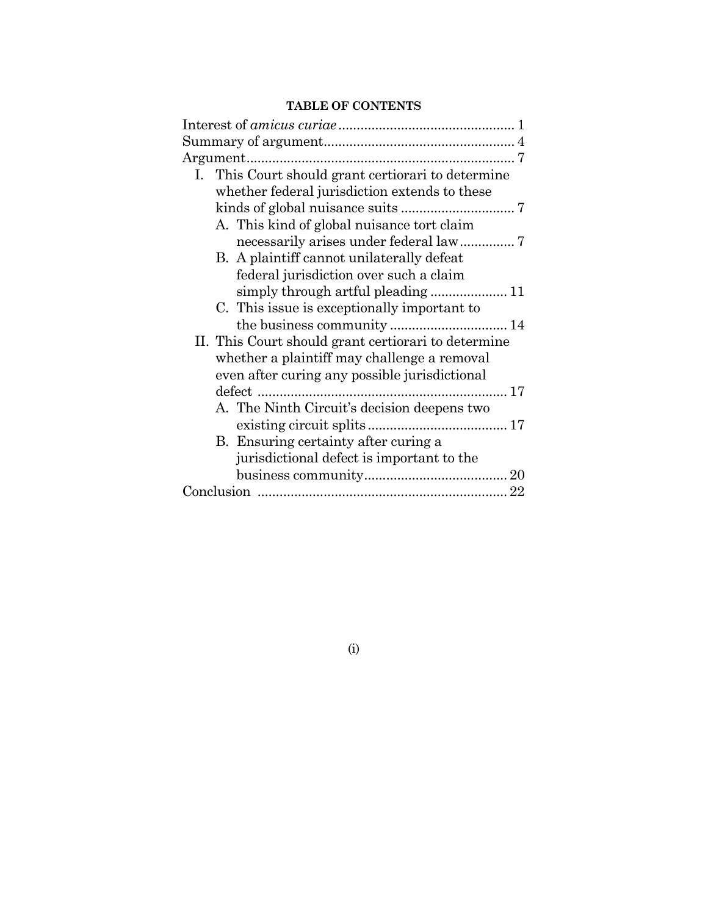### **TABLE OF CONTENTS**

| I. This Court should grant certiorari to determine  |  |
|-----------------------------------------------------|--|
| whether federal jurisdiction extends to these       |  |
|                                                     |  |
| A. This kind of global nuisance tort claim          |  |
|                                                     |  |
| B. A plaintiff cannot unilaterally defeat           |  |
| federal jurisdiction over such a claim              |  |
|                                                     |  |
| C. This issue is exceptionally important to         |  |
|                                                     |  |
| II. This Court should grant certiorari to determine |  |
| whether a plaintiff may challenge a removal         |  |
| even after curing any possible jurisdictional       |  |
| defect                                              |  |
| A. The Ninth Circuit's decision deepens two         |  |
|                                                     |  |
| B. Ensuring certainty after curing a                |  |
| jurisdictional defect is important to the           |  |
|                                                     |  |
|                                                     |  |
|                                                     |  |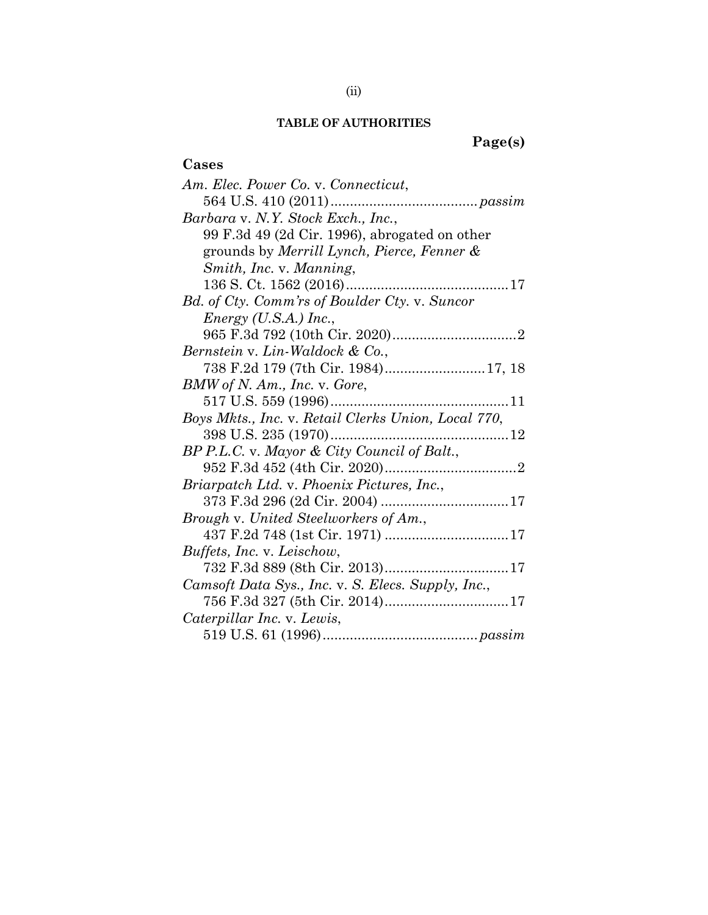#### **TABLE OF AUTHORITIES**

**Page(s)** 

# **Cases**  *Am. Elec. Power Co.* v. *Connecticut*, 564 U.S. 410 (2011) ...................................... *passim Barbara* v. *N.Y. Stock Exch., Inc.*, 99 F.3d 49 (2d Cir. 1996), abrogated on other grounds by *Merrill Lynch, Pierce, Fenner & Smith, Inc.* v. *Manning*, 136 S. Ct. 1562 (2016) .......................................... 17 *Bd. of Cty. Comm'rs of Boulder Cty.* v. *Suncor Energy (U.S.A.) Inc.*, 965 F.3d 792 (10th Cir. 2020) ................................ 2 *Bernstein* v. *Lin-Waldock & Co.*, 738 F.2d 179 (7th Cir. 1984) .......................... 17, 18 *BMW of N. Am., Inc.* v. *Gore*, 517 U.S. 559 (1996) .............................................. 11 *Boys Mkts., Inc.* v. *Retail Clerks Union, Local 770*, 398 U.S. 235 (1970) .............................................. 12 *BP P.L.C.* v. *Mayor & City Council of Balt.*, 952 F.3d 452 (4th Cir. 2020) .................................. 2 *Briarpatch Ltd.* v. *Phoenix Pictures, Inc.*, 373 F.3d 296 (2d Cir. 2004) ................................. 17 *Brough* v. *United Steelworkers of Am.*, 437 F.2d 748 (1st Cir. 1971) ................................ 17 *Buffets, Inc.* v. *Leischow*, 732 F.3d 889 (8th Cir. 2013) ................................ 17 *Camsoft Data Sys., Inc.* v. *S. Elecs. Supply, Inc.*, 756 F.3d 327 (5th Cir. 2014) ................................ 17 *Caterpillar Inc.* v. *Lewis*, 519 U.S. 61 (1996) ........................................ *passim*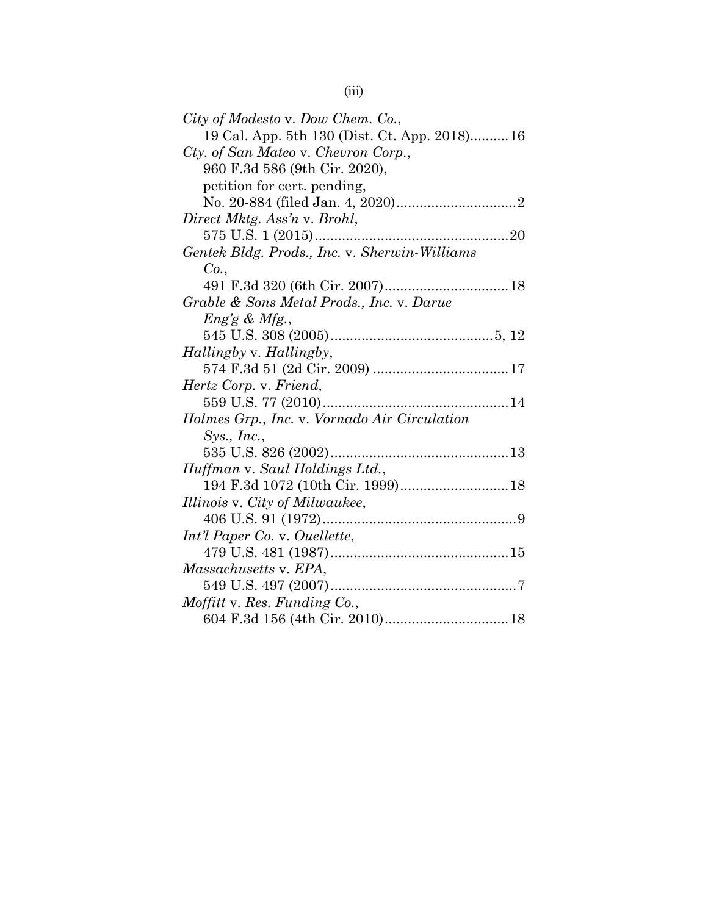| City of Modesto v. Dow Chem. Co.,             |
|-----------------------------------------------|
| 19 Cal. App. 5th 130 (Dist. Ct. App. 2018)16  |
| Cty. of San Mateo v. Chevron Corp.,           |
| 960 F.3d 586 (9th Cir. 2020),                 |
| petition for cert. pending,                   |
|                                               |
| Direct Mktg. Ass'n v. Brohl,                  |
|                                               |
| Gentek Bldg. Prods., Inc. v. Sherwin-Williams |
| Co.                                           |
|                                               |
| Grable & Sons Metal Prods., Inc. v. Darue     |
| $Eng \& Mfg.$                                 |
|                                               |
| Hallingby v. Hallingby,                       |
|                                               |
| Hertz Corp. v. Friend,                        |
|                                               |
| Holmes Grp., Inc. v. Vornado Air Circulation  |
| Sys., Inc.,                                   |
|                                               |
| Huffman v. Saul Holdings Ltd.,                |
|                                               |
| Illinois v. City of Milwaukee,                |
|                                               |
| Int'l Paper Co. v. Ouellette,                 |
|                                               |
| Massachusetts v. EPA,                         |
|                                               |
| <i>Moffitt</i> v. Res. Funding Co.,           |
|                                               |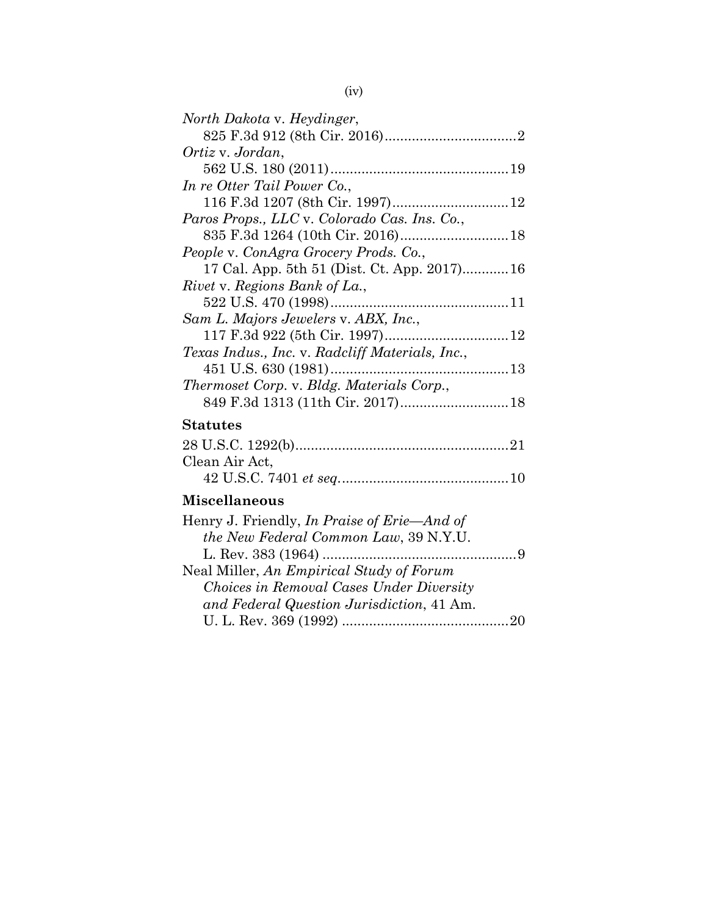| North Dakota v. Heydinger,                      |
|-------------------------------------------------|
|                                                 |
| Ortiz v. Jordan,                                |
|                                                 |
| In re Otter Tail Power Co.,                     |
|                                                 |
| Paros Props., LLC v. Colorado Cas. Ins. Co.,    |
|                                                 |
| People v. ConAgra Grocery Prods. Co.,           |
| 17 Cal. App. 5th 51 (Dist. Ct. App. 2017)16     |
| Rivet v. Regions Bank of La.,                   |
|                                                 |
| Sam L. Majors Jewelers v. ABX, Inc.,            |
|                                                 |
| Texas Indus., Inc. v. Radcliff Materials, Inc., |
|                                                 |
| Thermoset Corp. v. Bldg. Materials Corp.,       |
| 849 F.3d 1313 (11th Cir. 2017) 18               |
| <b>Statutes</b>                                 |
|                                                 |
| Clean Air Act,                                  |
|                                                 |

# **Miscellaneous**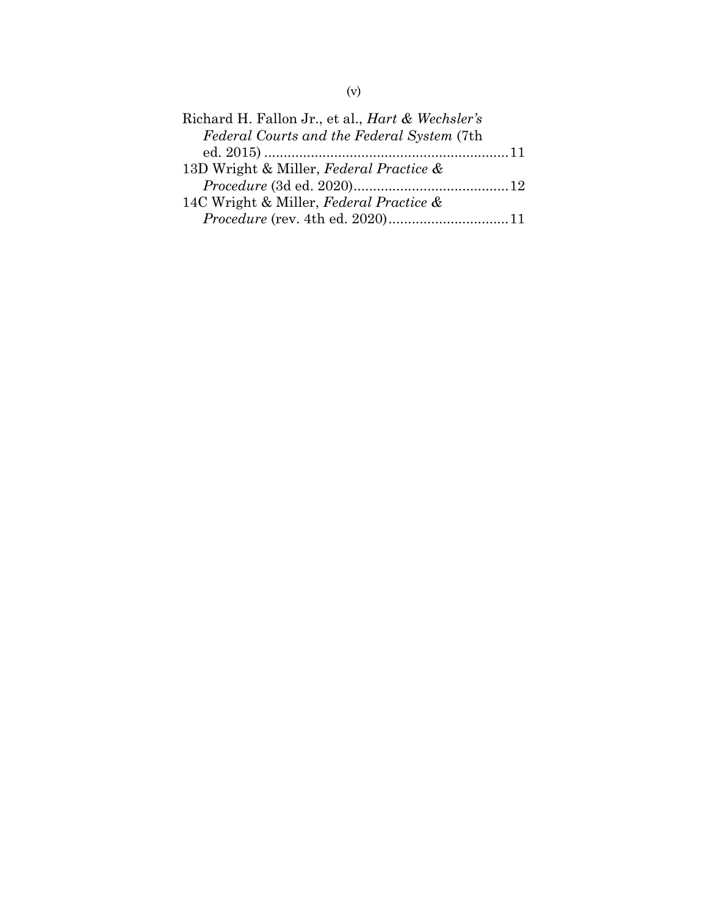| Richard H. Fallon Jr., et al., <i>Hart &amp; Wechsler's</i> |  |
|-------------------------------------------------------------|--|
| Federal Courts and the Federal System (7th                  |  |
|                                                             |  |
| 13D Wright & Miller, Federal Practice &                     |  |
|                                                             |  |
| 14C Wright & Miller, Federal Practice &                     |  |
|                                                             |  |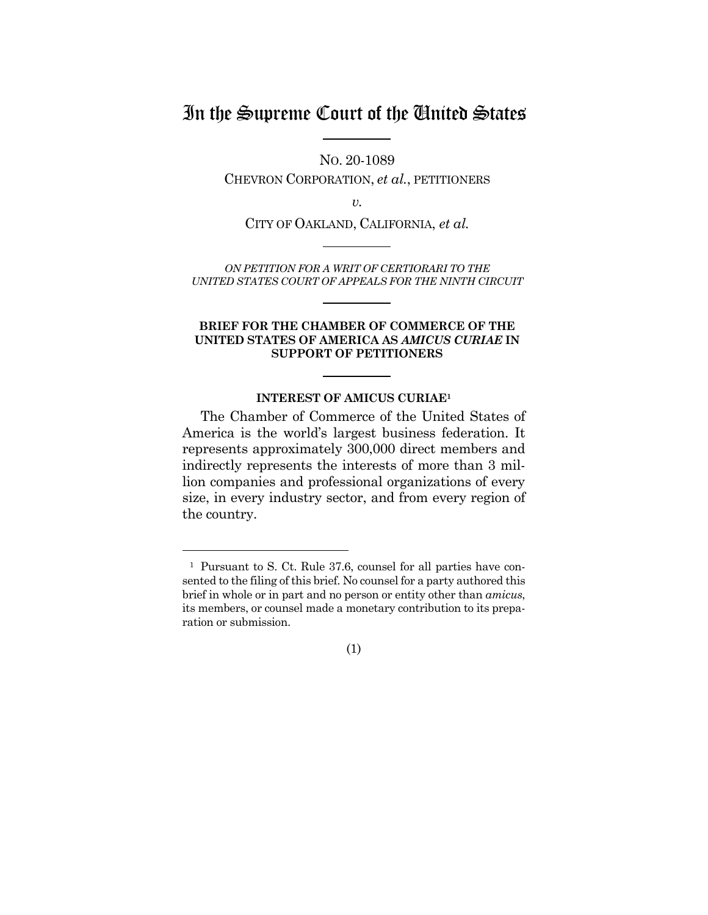# In the Supreme Court of the United States

NO. 20-1089

CHEVRON CORPORATION, *et al.*, PETITIONERS

*v.* 

CITY OF OAKLAND, CALIFORNIA, *et al.*

*ON PETITION FOR A WRIT OF CERTIORARI TO THE UNITED STATES COURT OF APPEALS FOR THE NINTH CIRCUIT* 

#### **BRIEF FOR THE CHAMBER OF COMMERCE OF THE UNITED STATES OF AMERICA AS** *AMICUS CURIAE* **IN SUPPORT OF PETITIONERS**

#### **INTEREST OF AMICUS CURIAE1**

The Chamber of Commerce of the United States of America is the world's largest business federation. It represents approximately 300,000 direct members and indirectly represents the interests of more than 3 million companies and professional organizations of every size, in every industry sector, and from every region of the country.

l



<sup>1</sup> Pursuant to S. Ct. Rule 37.6, counsel for all parties have consented to the filing of this brief. No counsel for a party authored this brief in whole or in part and no person or entity other than *amicus*, its members, or counsel made a monetary contribution to its preparation or submission.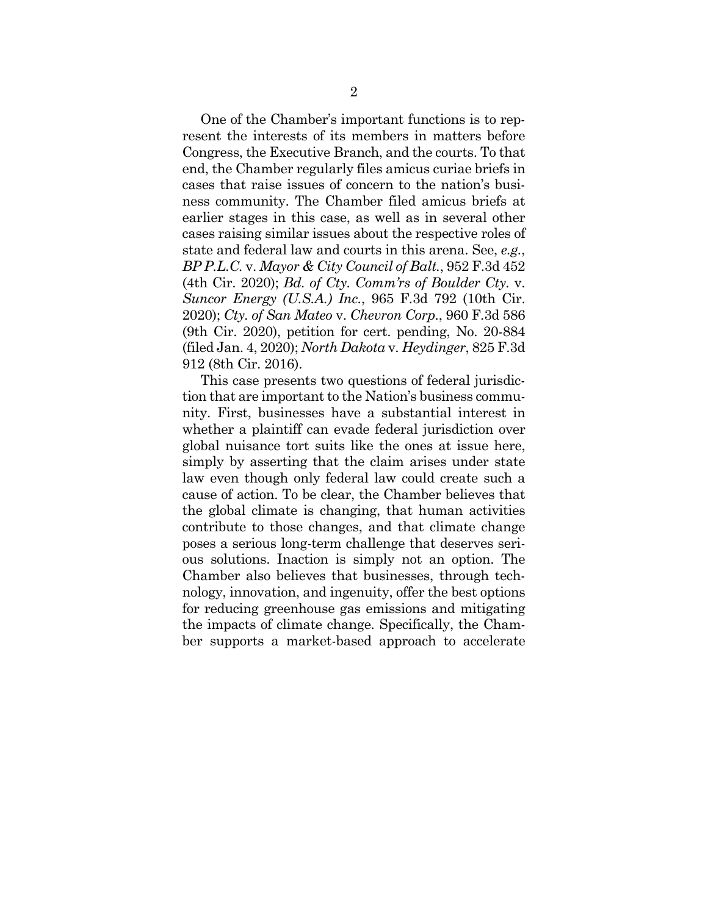One of the Chamber's important functions is to represent the interests of its members in matters before Congress, the Executive Branch, and the courts. To that end, the Chamber regularly files amicus curiae briefs in cases that raise issues of concern to the nation's business community. The Chamber filed amicus briefs at earlier stages in this case, as well as in several other cases raising similar issues about the respective roles of state and federal law and courts in this arena. See, *e.g.*, *BP P.L.C.* v. *Mayor & City Council of Balt.*, 952 F.3d 452 (4th Cir. 2020); *Bd. of Cty. Comm'rs of Boulder Cty.* v. *Suncor Energy (U.S.A.) Inc.*, 965 F.3d 792 (10th Cir. 2020); *Cty. of San Mateo* v. *Chevron Corp.*, 960 F.3d 586 (9th Cir. 2020), petition for cert. pending, No. 20-884 (filed Jan. 4, 2020); *North Dakota* v. *Heydinger*, 825 F.3d 912 (8th Cir. 2016).

This case presents two questions of federal jurisdiction that are important to the Nation's business community. First, businesses have a substantial interest in whether a plaintiff can evade federal jurisdiction over global nuisance tort suits like the ones at issue here, simply by asserting that the claim arises under state law even though only federal law could create such a cause of action. To be clear, the Chamber believes that the global climate is changing, that human activities contribute to those changes, and that climate change poses a serious long-term challenge that deserves serious solutions. Inaction is simply not an option. The Chamber also believes that businesses, through technology, innovation, and ingenuity, offer the best options for reducing greenhouse gas emissions and mitigating the impacts of climate change. Specifically, the Chamber supports a market-based approach to accelerate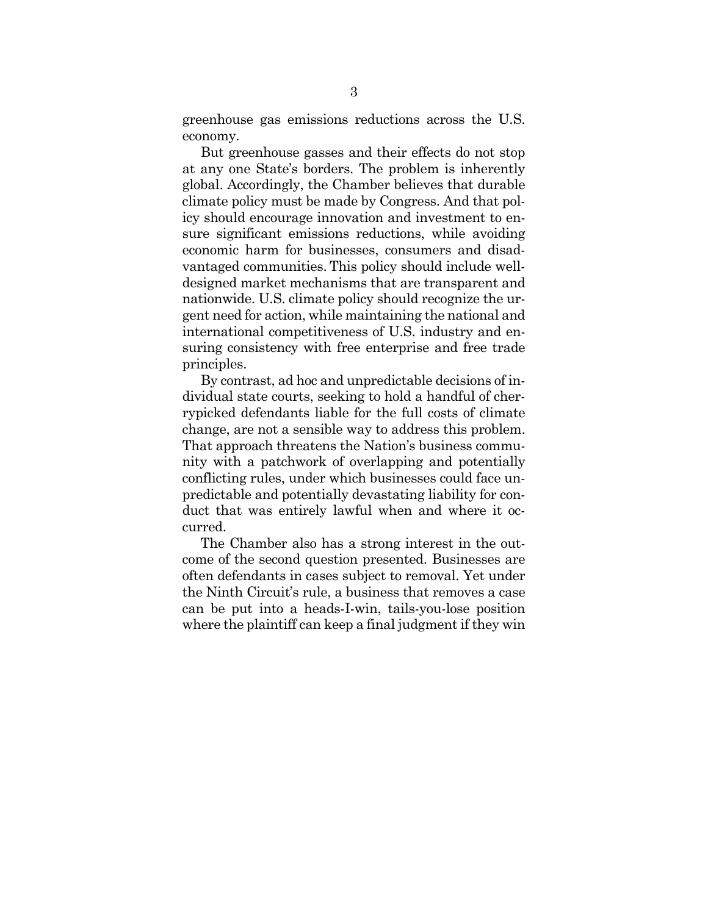greenhouse gas emissions reductions across the U.S. economy.

But greenhouse gasses and their effects do not stop at any one State's borders. The problem is inherently global. Accordingly, the Chamber believes that durable climate policy must be made by Congress. And that policy should encourage innovation and investment to ensure significant emissions reductions, while avoiding economic harm for businesses, consumers and disadvantaged communities. This policy should include welldesigned market mechanisms that are transparent and nationwide. U.S. climate policy should recognize the urgent need for action, while maintaining the national and international competitiveness of U.S. industry and ensuring consistency with free enterprise and free trade principles.

By contrast, ad hoc and unpredictable decisions of individual state courts, seeking to hold a handful of cherrypicked defendants liable for the full costs of climate change, are not a sensible way to address this problem. That approach threatens the Nation's business community with a patchwork of overlapping and potentially conflicting rules, under which businesses could face unpredictable and potentially devastating liability for conduct that was entirely lawful when and where it occurred.

The Chamber also has a strong interest in the outcome of the second question presented. Businesses are often defendants in cases subject to removal. Yet under the Ninth Circuit's rule, a business that removes a case can be put into a heads-I-win, tails-you-lose position where the plaintiff can keep a final judgment if they win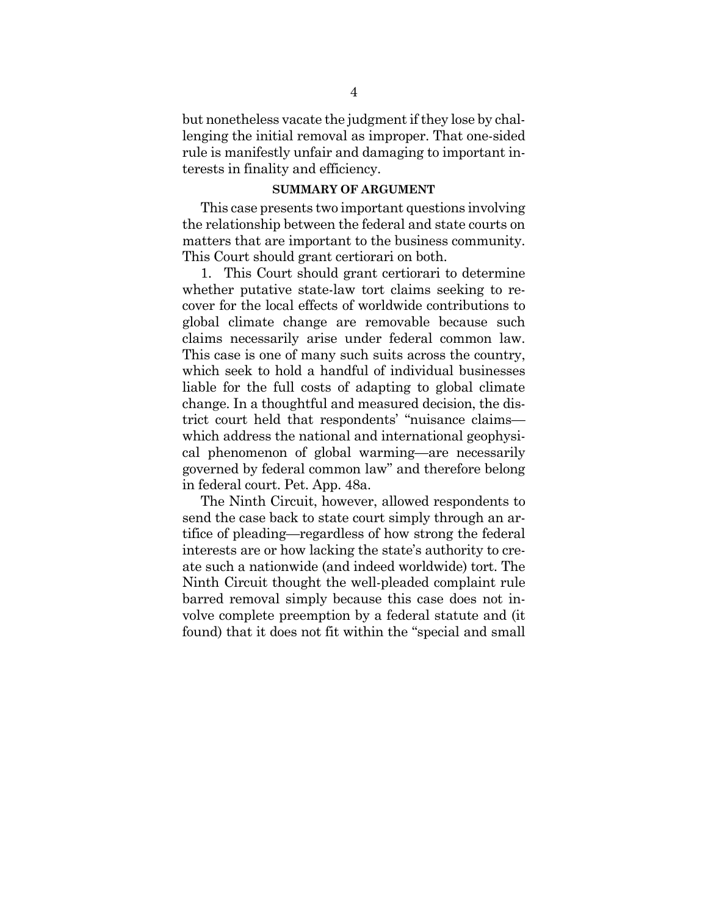but nonetheless vacate the judgment if they lose by challenging the initial removal as improper. That one-sided rule is manifestly unfair and damaging to important interests in finality and efficiency.

#### **SUMMARY OF ARGUMENT**

This case presents two important questions involving the relationship between the federal and state courts on matters that are important to the business community. This Court should grant certiorari on both.

1. This Court should grant certiorari to determine whether putative state-law tort claims seeking to recover for the local effects of worldwide contributions to global climate change are removable because such claims necessarily arise under federal common law. This case is one of many such suits across the country, which seek to hold a handful of individual businesses liable for the full costs of adapting to global climate change. In a thoughtful and measured decision, the district court held that respondents' "nuisance claims which address the national and international geophysical phenomenon of global warming—are necessarily governed by federal common law" and therefore belong in federal court. Pet. App. 48a.

The Ninth Circuit, however, allowed respondents to send the case back to state court simply through an artifice of pleading—regardless of how strong the federal interests are or how lacking the state's authority to create such a nationwide (and indeed worldwide) tort. The Ninth Circuit thought the well-pleaded complaint rule barred removal simply because this case does not involve complete preemption by a federal statute and (it found) that it does not fit within the "special and small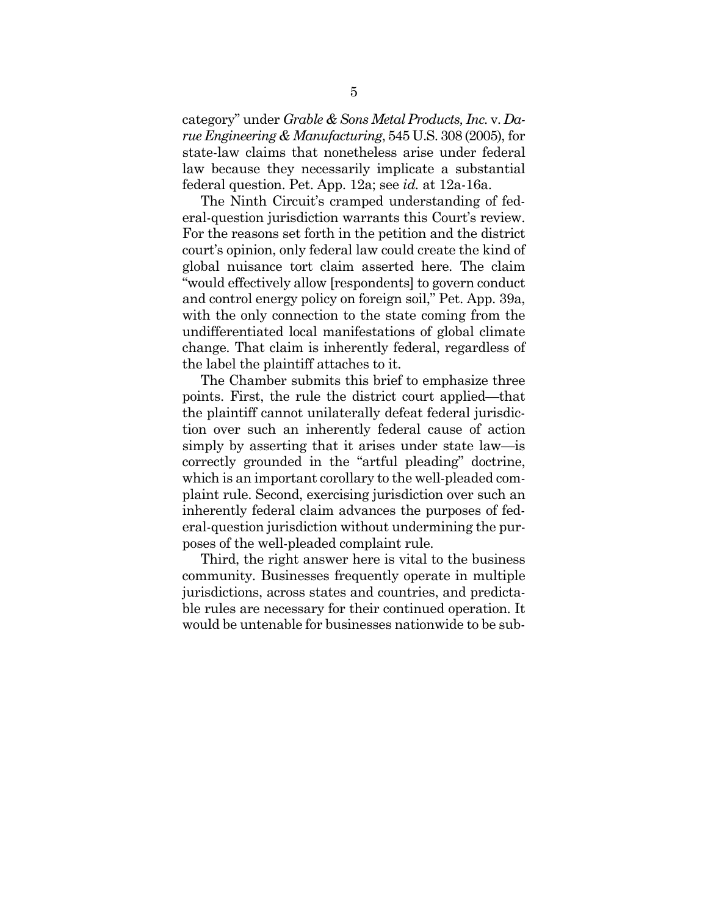category" under *Grable & Sons Metal Products, Inc.* v. *Darue Engineering & Manufacturing*, 545 U.S. 308 (2005), for state-law claims that nonetheless arise under federal law because they necessarily implicate a substantial federal question. Pet. App. 12a; see *id.* at 12a-16a.

The Ninth Circuit's cramped understanding of federal-question jurisdiction warrants this Court's review. For the reasons set forth in the petition and the district court's opinion, only federal law could create the kind of global nuisance tort claim asserted here. The claim "would effectively allow [respondents] to govern conduct and control energy policy on foreign soil," Pet. App. 39a, with the only connection to the state coming from the undifferentiated local manifestations of global climate change. That claim is inherently federal, regardless of the label the plaintiff attaches to it.

The Chamber submits this brief to emphasize three points. First, the rule the district court applied—that the plaintiff cannot unilaterally defeat federal jurisdiction over such an inherently federal cause of action simply by asserting that it arises under state law—is correctly grounded in the "artful pleading" doctrine, which is an important corollary to the well-pleaded complaint rule. Second, exercising jurisdiction over such an inherently federal claim advances the purposes of federal-question jurisdiction without undermining the purposes of the well-pleaded complaint rule.

Third, the right answer here is vital to the business community. Businesses frequently operate in multiple jurisdictions, across states and countries, and predictable rules are necessary for their continued operation. It would be untenable for businesses nationwide to be sub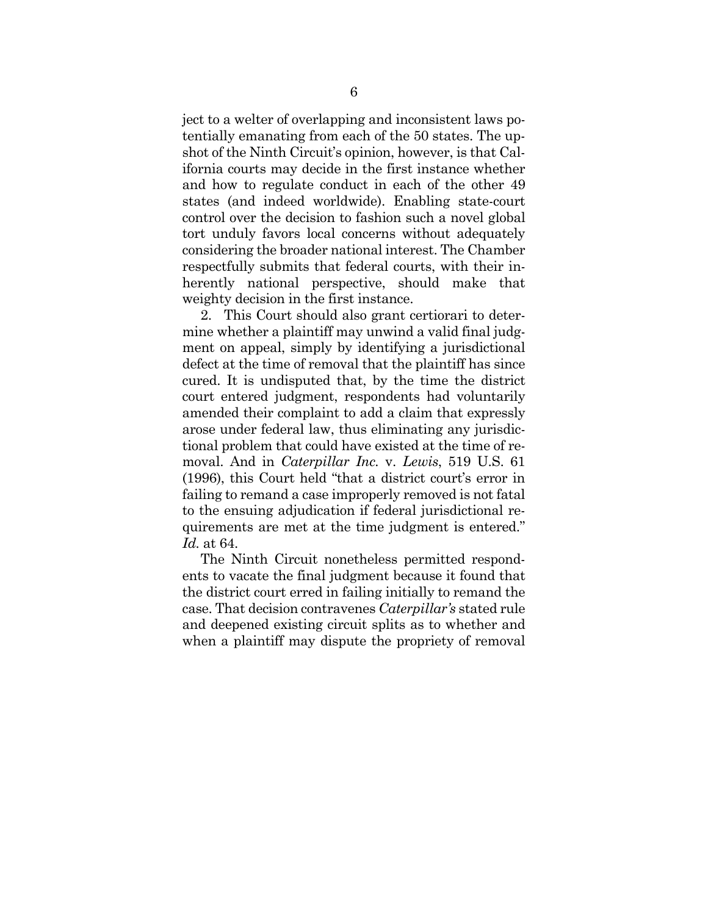ject to a welter of overlapping and inconsistent laws potentially emanating from each of the 50 states. The upshot of the Ninth Circuit's opinion, however, is that California courts may decide in the first instance whether and how to regulate conduct in each of the other 49 states (and indeed worldwide). Enabling state-court control over the decision to fashion such a novel global tort unduly favors local concerns without adequately considering the broader national interest. The Chamber respectfully submits that federal courts, with their inherently national perspective, should make that weighty decision in the first instance.

2. This Court should also grant certiorari to determine whether a plaintiff may unwind a valid final judgment on appeal, simply by identifying a jurisdictional defect at the time of removal that the plaintiff has since cured. It is undisputed that, by the time the district court entered judgment, respondents had voluntarily amended their complaint to add a claim that expressly arose under federal law, thus eliminating any jurisdictional problem that could have existed at the time of removal. And in *Caterpillar Inc.* v. *Lewis*, 519 U.S. 61 (1996), this Court held "that a district court's error in failing to remand a case improperly removed is not fatal to the ensuing adjudication if federal jurisdictional requirements are met at the time judgment is entered." *Id.* at 64.

The Ninth Circuit nonetheless permitted respondents to vacate the final judgment because it found that the district court erred in failing initially to remand the case. That decision contravenes *Caterpillar's* stated rule and deepened existing circuit splits as to whether and when a plaintiff may dispute the propriety of removal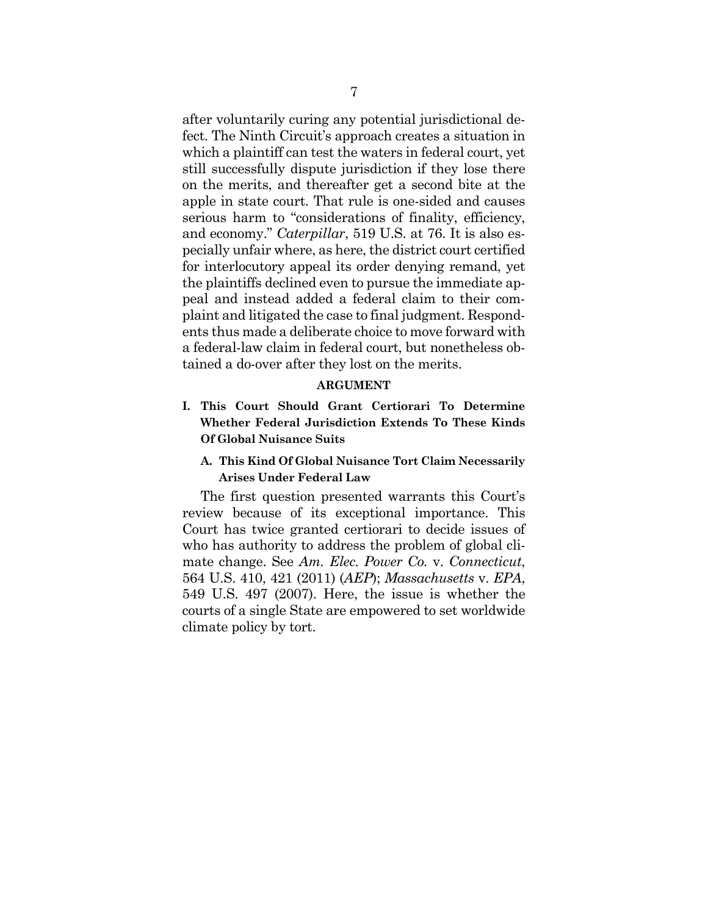after voluntarily curing any potential jurisdictional defect. The Ninth Circuit's approach creates a situation in which a plaintiff can test the waters in federal court, yet still successfully dispute jurisdiction if they lose there on the merits, and thereafter get a second bite at the apple in state court. That rule is one-sided and causes serious harm to "considerations of finality, efficiency, and economy." *Caterpillar*, 519 U.S. at 76. It is also especially unfair where, as here, the district court certified for interlocutory appeal its order denying remand, yet the plaintiffs declined even to pursue the immediate appeal and instead added a federal claim to their complaint and litigated the case to final judgment. Respondents thus made a deliberate choice to move forward with a federal-law claim in federal court, but nonetheless obtained a do-over after they lost on the merits.

#### **ARGUMENT**

- **I. This Court Should Grant Certiorari To Determine Whether Federal Jurisdiction Extends To These Kinds Of Global Nuisance Suits** 
	- **A. This Kind Of Global Nuisance Tort Claim Necessarily Arises Under Federal Law**

The first question presented warrants this Court's review because of its exceptional importance. This Court has twice granted certiorari to decide issues of who has authority to address the problem of global climate change. See *Am. Elec. Power Co.* v. *Connecticut*, 564 U.S. 410, 421 (2011) (*AEP*); *Massachusetts* v. *EPA*, 549 U.S. 497 (2007). Here, the issue is whether the courts of a single State are empowered to set worldwide climate policy by tort.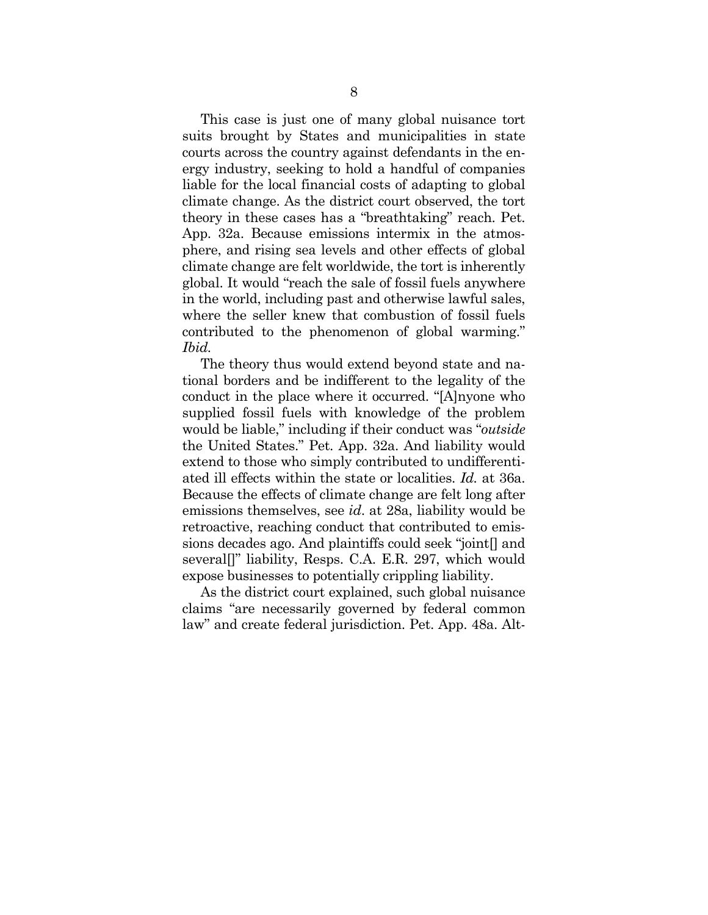This case is just one of many global nuisance tort suits brought by States and municipalities in state courts across the country against defendants in the energy industry, seeking to hold a handful of companies liable for the local financial costs of adapting to global climate change. As the district court observed, the tort theory in these cases has a "breathtaking" reach. Pet. App. 32a. Because emissions intermix in the atmosphere, and rising sea levels and other effects of global climate change are felt worldwide, the tort is inherently global. It would "reach the sale of fossil fuels anywhere in the world, including past and otherwise lawful sales, where the seller knew that combustion of fossil fuels contributed to the phenomenon of global warming." *Ibid.*

The theory thus would extend beyond state and national borders and be indifferent to the legality of the conduct in the place where it occurred. "[A]nyone who supplied fossil fuels with knowledge of the problem would be liable," including if their conduct was "*outside* the United States." Pet. App. 32a. And liability would extend to those who simply contributed to undifferentiated ill effects within the state or localities. *Id.* at 36a. Because the effects of climate change are felt long after emissions themselves, see *id*. at 28a, liability would be retroactive, reaching conduct that contributed to emissions decades ago. And plaintiffs could seek "joint[] and several<sup>[]"</sup> liability, Resps. C.A. E.R. 297, which would expose businesses to potentially crippling liability.

As the district court explained, such global nuisance claims "are necessarily governed by federal common law" and create federal jurisdiction. Pet. App. 48a. Alt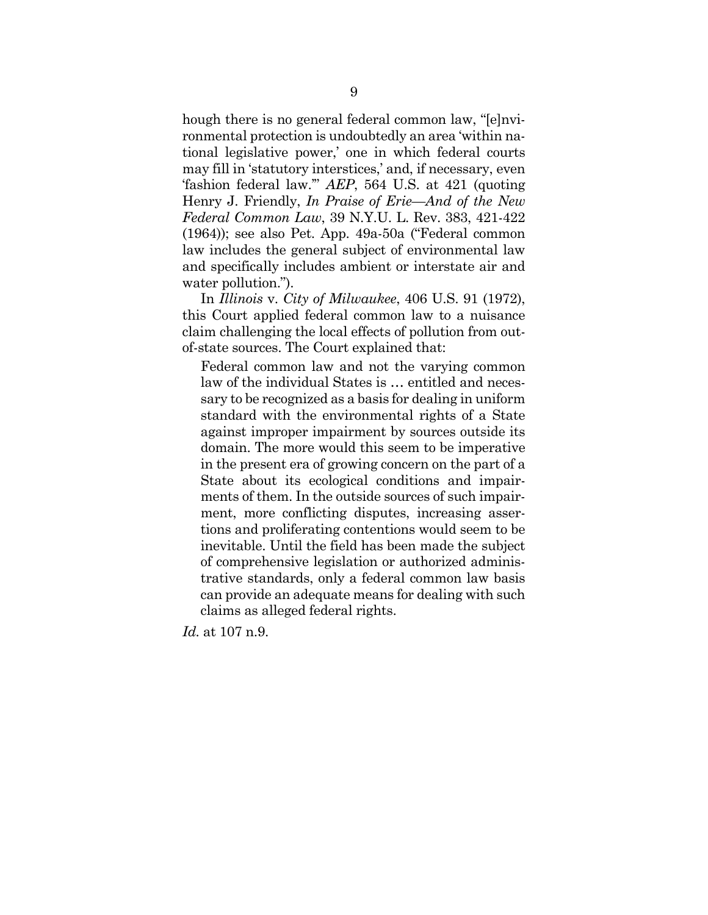hough there is no general federal common law, "[e]nvironmental protection is undoubtedly an area 'within national legislative power,' one in which federal courts may fill in 'statutory interstices,' and, if necessary, even 'fashion federal law.'" *AEP*, 564 U.S. at 421 (quoting Henry J. Friendly, *In Praise of Erie—And of the New Federal Common Law*, 39 N.Y.U. L. Rev. 383, 421-422 (1964)); see also Pet. App. 49a-50a ("Federal common law includes the general subject of environmental law and specifically includes ambient or interstate air and water pollution.").

In *Illinois* v. *City of Milwaukee*, 406 U.S. 91 (1972), this Court applied federal common law to a nuisance claim challenging the local effects of pollution from outof-state sources. The Court explained that:

Federal common law and not the varying common law of the individual States is … entitled and necessary to be recognized as a basis for dealing in uniform standard with the environmental rights of a State against improper impairment by sources outside its domain. The more would this seem to be imperative in the present era of growing concern on the part of a State about its ecological conditions and impairments of them. In the outside sources of such impairment, more conflicting disputes, increasing assertions and proliferating contentions would seem to be inevitable. Until the field has been made the subject of comprehensive legislation or authorized administrative standards, only a federal common law basis can provide an adequate means for dealing with such claims as alleged federal rights.

*Id.* at 107 n.9.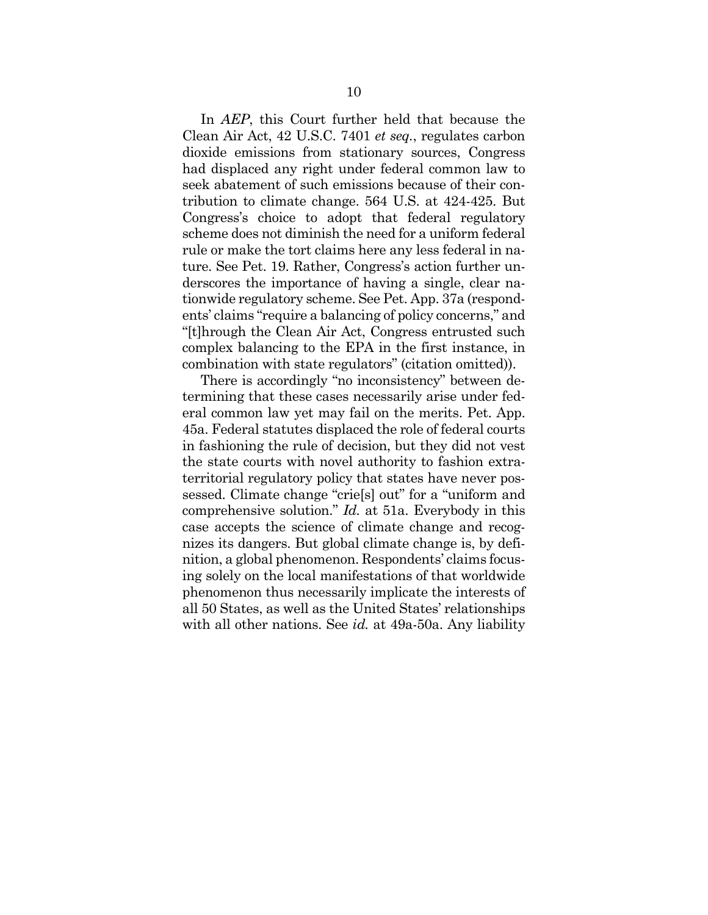In *AEP*, this Court further held that because the Clean Air Act, 42 U.S.C. 7401 *et seq.*, regulates carbon dioxide emissions from stationary sources, Congress had displaced any right under federal common law to seek abatement of such emissions because of their contribution to climate change. 564 U.S. at 424-425. But Congress's choice to adopt that federal regulatory scheme does not diminish the need for a uniform federal rule or make the tort claims here any less federal in nature. See Pet. 19. Rather, Congress's action further underscores the importance of having a single, clear nationwide regulatory scheme. See Pet. App. 37a (respondents' claims "require a balancing of policy concerns," and "[t]hrough the Clean Air Act, Congress entrusted such complex balancing to the EPA in the first instance, in combination with state regulators" (citation omitted)).

There is accordingly "no inconsistency" between determining that these cases necessarily arise under federal common law yet may fail on the merits. Pet. App. 45a. Federal statutes displaced the role of federal courts in fashioning the rule of decision, but they did not vest the state courts with novel authority to fashion extraterritorial regulatory policy that states have never possessed. Climate change "crie[s] out" for a "uniform and comprehensive solution." *Id.* at 51a. Everybody in this case accepts the science of climate change and recognizes its dangers. But global climate change is, by definition, a global phenomenon. Respondents' claims focusing solely on the local manifestations of that worldwide phenomenon thus necessarily implicate the interests of all 50 States, as well as the United States' relationships with all other nations. See *id.* at 49a-50a. Any liability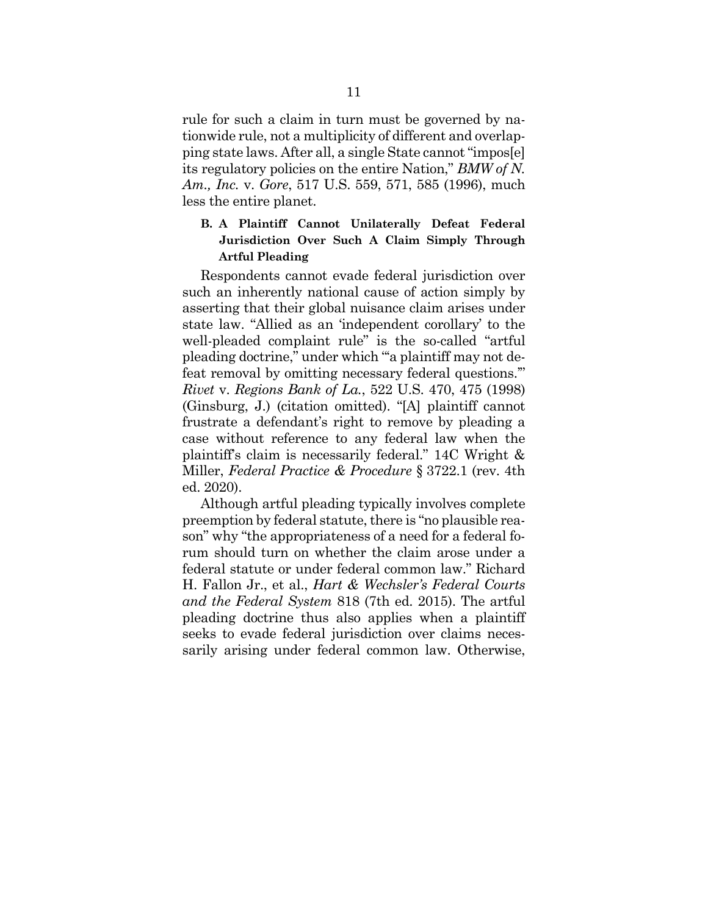rule for such a claim in turn must be governed by nationwide rule, not a multiplicity of different and overlapping state laws. After all, a single State cannot "impos[e] its regulatory policies on the entire Nation," *BMW of N. Am., Inc.* v. *Gore*, 517 U.S. 559, 571, 585 (1996), much less the entire planet.

## **B. A Plaintiff Cannot Unilaterally Defeat Federal Jurisdiction Over Such A Claim Simply Through Artful Pleading**

Respondents cannot evade federal jurisdiction over such an inherently national cause of action simply by asserting that their global nuisance claim arises under state law. "Allied as an 'independent corollary' to the well-pleaded complaint rule" is the so-called "artful pleading doctrine," under which "'a plaintiff may not defeat removal by omitting necessary federal questions.'" *Rivet* v. *Regions Bank of La.*, 522 U.S. 470, 475 (1998) (Ginsburg, J.) (citation omitted). "[A] plaintiff cannot frustrate a defendant's right to remove by pleading a case without reference to any federal law when the plaintiff's claim is necessarily federal." 14C Wright & Miller, *Federal Practice & Procedure* § 3722.1 (rev. 4th ed. 2020).

Although artful pleading typically involves complete preemption by federal statute, there is "no plausible reason" why "the appropriateness of a need for a federal forum should turn on whether the claim arose under a federal statute or under federal common law." Richard H. Fallon Jr., et al., *Hart & Wechsler's Federal Courts and the Federal System* 818 (7th ed. 2015). The artful pleading doctrine thus also applies when a plaintiff seeks to evade federal jurisdiction over claims necessarily arising under federal common law. Otherwise,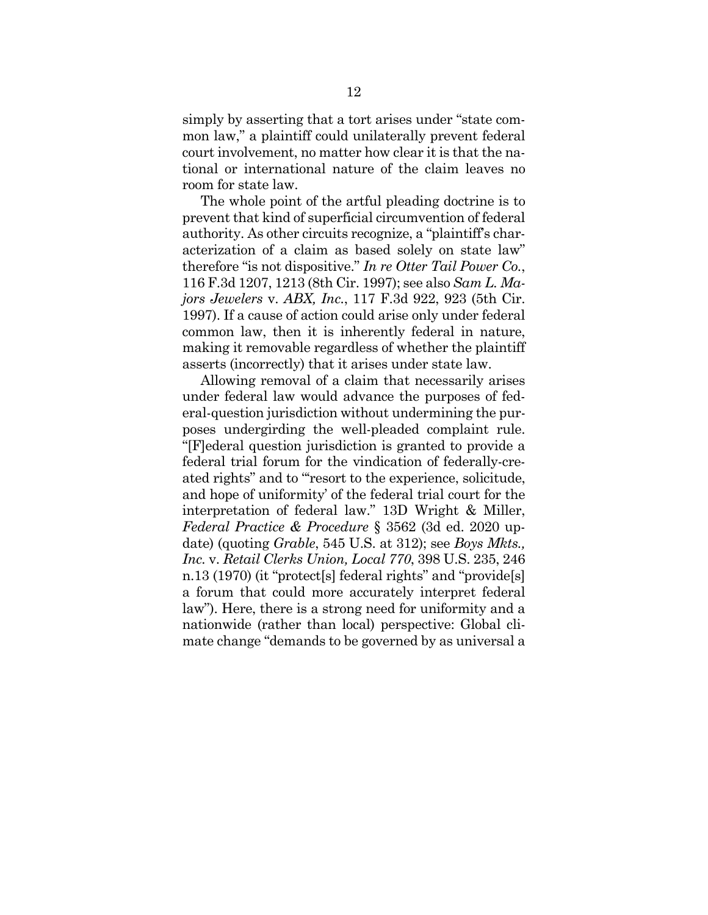simply by asserting that a tort arises under "state common law," a plaintiff could unilaterally prevent federal court involvement, no matter how clear it is that the national or international nature of the claim leaves no room for state law.

The whole point of the artful pleading doctrine is to prevent that kind of superficial circumvention of federal authority. As other circuits recognize, a "plaintiff's characterization of a claim as based solely on state law" therefore "is not dispositive." *In re Otter Tail Power Co.*, 116 F.3d 1207, 1213 (8th Cir. 1997); see also *Sam L. Majors Jewelers* v. *ABX, Inc.*, 117 F.3d 922, 923 (5th Cir. 1997). If a cause of action could arise only under federal common law, then it is inherently federal in nature, making it removable regardless of whether the plaintiff asserts (incorrectly) that it arises under state law.

Allowing removal of a claim that necessarily arises under federal law would advance the purposes of federal-question jurisdiction without undermining the purposes undergirding the well-pleaded complaint rule. "[F]ederal question jurisdiction is granted to provide a federal trial forum for the vindication of federally-created rights" and to "'resort to the experience, solicitude, and hope of uniformity' of the federal trial court for the interpretation of federal law." 13D Wright & Miller, *Federal Practice & Procedure* § 3562 (3d ed. 2020 update) (quoting *Grable*, 545 U.S. at 312); see *Boys Mkts., Inc.* v. *Retail Clerks Union, Local 770*, 398 U.S. 235, 246 n.13 (1970) (it "protect[s] federal rights" and "provide[s] a forum that could more accurately interpret federal law"). Here, there is a strong need for uniformity and a nationwide (rather than local) perspective: Global climate change "demands to be governed by as universal a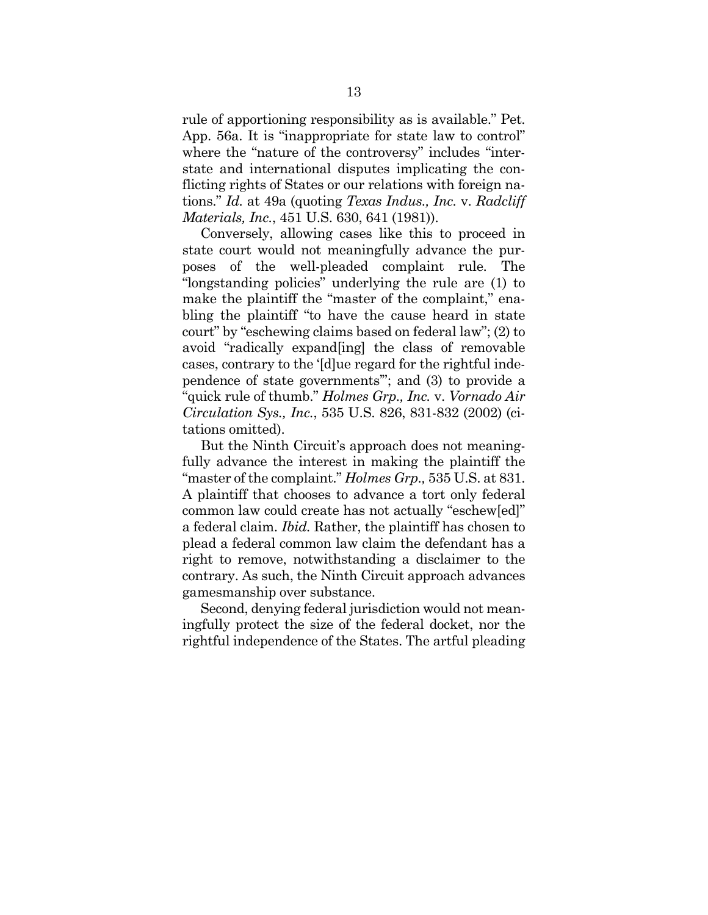rule of apportioning responsibility as is available." Pet. App. 56a. It is "inappropriate for state law to control" where the "nature of the controversy" includes "interstate and international disputes implicating the conflicting rights of States or our relations with foreign nations." *Id.* at 49a (quoting *Texas Indus., Inc.* v. *Radcliff Materials, Inc.*, 451 U.S. 630, 641 (1981)).

Conversely, allowing cases like this to proceed in state court would not meaningfully advance the purposes of the well-pleaded complaint rule. The "longstanding policies" underlying the rule are (1) to make the plaintiff the "master of the complaint," enabling the plaintiff "to have the cause heard in state court" by "eschewing claims based on federal law"; (2) to avoid "radically expand[ing] the class of removable cases, contrary to the '[d]ue regard for the rightful independence of state governments'"; and (3) to provide a "quick rule of thumb." *Holmes Grp., Inc.* v. *Vornado Air Circulation Sys., Inc.*, 535 U.S. 826, 831-832 (2002) (citations omitted).

But the Ninth Circuit's approach does not meaningfully advance the interest in making the plaintiff the "master of the complaint." *Holmes Grp.,* 535 U.S. at 831. A plaintiff that chooses to advance a tort only federal common law could create has not actually "eschew[ed]" a federal claim. *Ibid.* Rather, the plaintiff has chosen to plead a federal common law claim the defendant has a right to remove, notwithstanding a disclaimer to the contrary. As such, the Ninth Circuit approach advances gamesmanship over substance.

Second, denying federal jurisdiction would not meaningfully protect the size of the federal docket, nor the rightful independence of the States. The artful pleading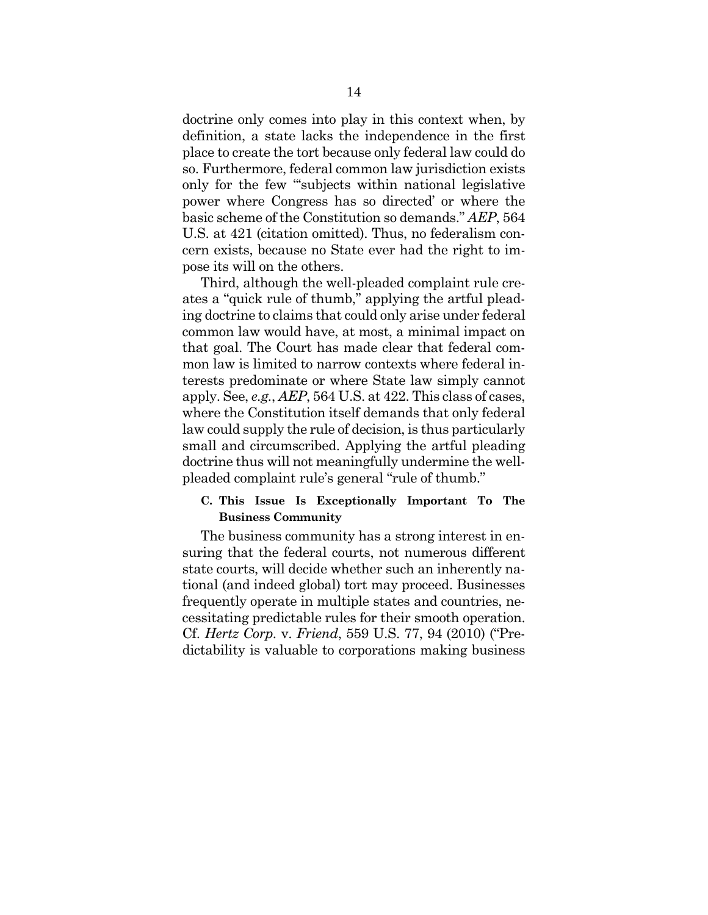doctrine only comes into play in this context when, by definition, a state lacks the independence in the first place to create the tort because only federal law could do so. Furthermore, federal common law jurisdiction exists only for the few "'subjects within national legislative power where Congress has so directed' or where the basic scheme of the Constitution so demands." *AEP*, 564 U.S. at 421 (citation omitted). Thus, no federalism concern exists, because no State ever had the right to impose its will on the others.

Third, although the well-pleaded complaint rule creates a "quick rule of thumb," applying the artful pleading doctrine to claims that could only arise under federal common law would have, at most, a minimal impact on that goal. The Court has made clear that federal common law is limited to narrow contexts where federal interests predominate or where State law simply cannot apply. See, *e.g.*, *AEP*, 564 U.S. at 422. This class of cases, where the Constitution itself demands that only federal law could supply the rule of decision, is thus particularly small and circumscribed. Applying the artful pleading doctrine thus will not meaningfully undermine the wellpleaded complaint rule's general "rule of thumb."

### **C. This Issue Is Exceptionally Important To The Business Community**

The business community has a strong interest in ensuring that the federal courts, not numerous different state courts, will decide whether such an inherently national (and indeed global) tort may proceed. Businesses frequently operate in multiple states and countries, necessitating predictable rules for their smooth operation. Cf. *Hertz Corp.* v. *Friend*, 559 U.S. 77, 94 (2010) ("Predictability is valuable to corporations making business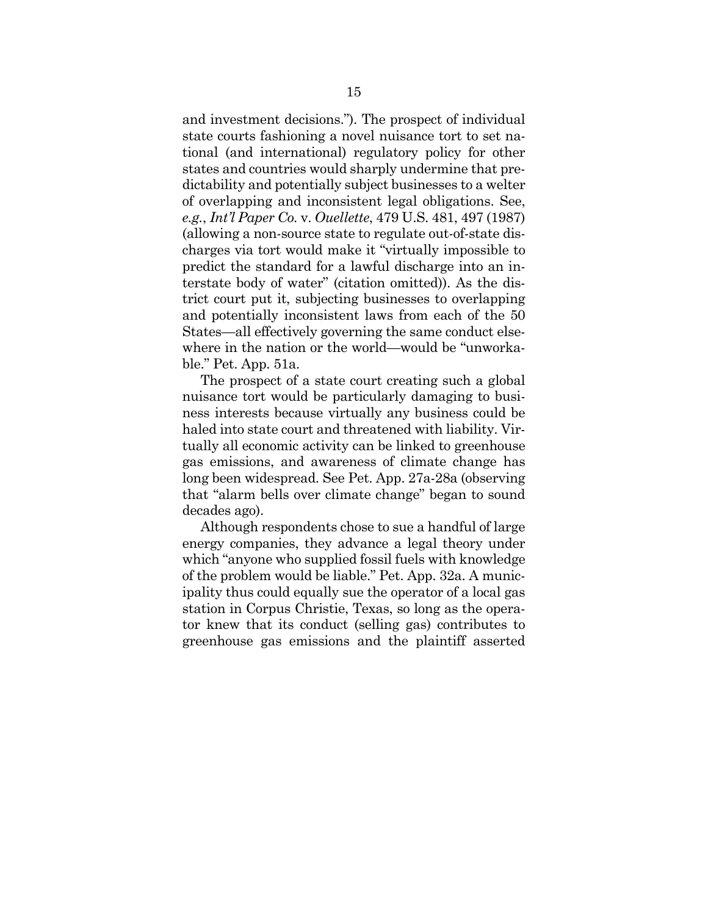and investment decisions."). The prospect of individual state courts fashioning a novel nuisance tort to set national (and international) regulatory policy for other states and countries would sharply undermine that predictability and potentially subject businesses to a welter of overlapping and inconsistent legal obligations. See, *e.g.*, *Int'l Paper Co.* v. *Ouellette*, 479 U.S. 481, 497 (1987) (allowing a non-source state to regulate out-of-state discharges via tort would make it "virtually impossible to predict the standard for a lawful discharge into an interstate body of water" (citation omitted)). As the district court put it, subjecting businesses to overlapping and potentially inconsistent laws from each of the 50 States—all effectively governing the same conduct elsewhere in the nation or the world—would be "unworkable." Pet. App. 51a.

The prospect of a state court creating such a global nuisance tort would be particularly damaging to business interests because virtually any business could be haled into state court and threatened with liability. Virtually all economic activity can be linked to greenhouse gas emissions, and awareness of climate change has long been widespread. See Pet. App. 27a-28a (observing that "alarm bells over climate change" began to sound decades ago).

Although respondents chose to sue a handful of large energy companies, they advance a legal theory under which "anyone who supplied fossil fuels with knowledge of the problem would be liable." Pet. App. 32a. A municipality thus could equally sue the operator of a local gas station in Corpus Christie, Texas, so long as the operator knew that its conduct (selling gas) contributes to greenhouse gas emissions and the plaintiff asserted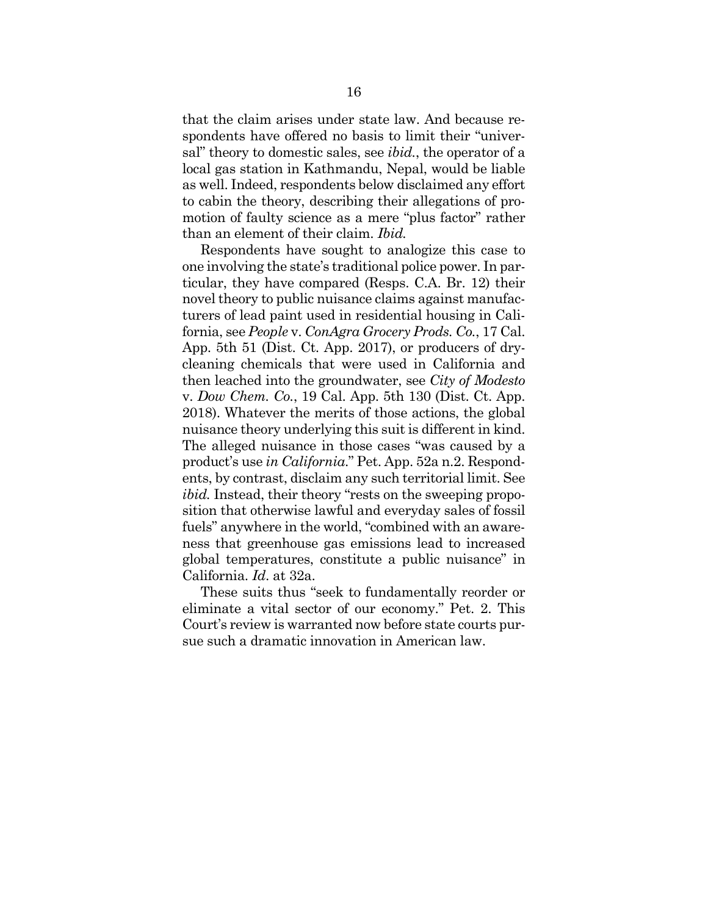that the claim arises under state law. And because respondents have offered no basis to limit their "universal" theory to domestic sales, see *ibid.*, the operator of a local gas station in Kathmandu, Nepal, would be liable as well. Indeed, respondents below disclaimed any effort to cabin the theory, describing their allegations of promotion of faulty science as a mere "plus factor" rather than an element of their claim. *Ibid.*

Respondents have sought to analogize this case to one involving the state's traditional police power. In particular, they have compared (Resps. C.A. Br. 12) their novel theory to public nuisance claims against manufacturers of lead paint used in residential housing in California, see *People* v. *ConAgra Grocery Prods. Co.*, 17 Cal. App. 5th 51 (Dist. Ct. App. 2017), or producers of drycleaning chemicals that were used in California and then leached into the groundwater, see *City of Modesto* v. *Dow Chem. Co.*, 19 Cal. App. 5th 130 (Dist. Ct. App. 2018). Whatever the merits of those actions, the global nuisance theory underlying this suit is different in kind. The alleged nuisance in those cases "was caused by a product's use *in California*." Pet. App. 52a n.2. Respondents, by contrast, disclaim any such territorial limit. See *ibid.* Instead, their theory "rests on the sweeping proposition that otherwise lawful and everyday sales of fossil fuels" anywhere in the world, "combined with an awareness that greenhouse gas emissions lead to increased global temperatures, constitute a public nuisance" in California. *Id*. at 32a.

These suits thus "seek to fundamentally reorder or eliminate a vital sector of our economy." Pet. 2. This Court's review is warranted now before state courts pursue such a dramatic innovation in American law.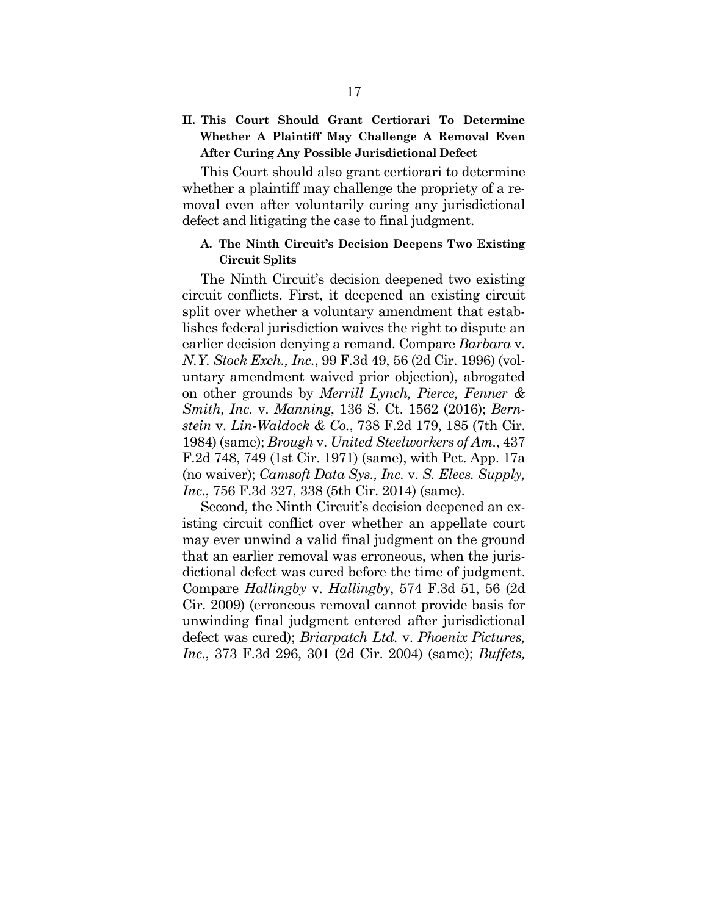## **II. This Court Should Grant Certiorari To Determine Whether A Plaintiff May Challenge A Removal Even After Curing Any Possible Jurisdictional Defect**

This Court should also grant certiorari to determine whether a plaintiff may challenge the propriety of a removal even after voluntarily curing any jurisdictional defect and litigating the case to final judgment.

#### **A. The Ninth Circuit's Decision Deepens Two Existing Circuit Splits**

The Ninth Circuit's decision deepened two existing circuit conflicts. First, it deepened an existing circuit split over whether a voluntary amendment that establishes federal jurisdiction waives the right to dispute an earlier decision denying a remand. Compare *Barbara* v. *N.Y. Stock Exch., Inc.*, 99 F.3d 49, 56 (2d Cir. 1996) (voluntary amendment waived prior objection), abrogated on other grounds by *Merrill Lynch, Pierce, Fenner & Smith, Inc.* v. *Manning*, 136 S. Ct. 1562 (2016); *Bernstein* v. *Lin-Waldock & Co.*, 738 F.2d 179, 185 (7th Cir. 1984) (same); *Brough* v. *United Steelworkers of Am.*, 437 F.2d 748, 749 (1st Cir. 1971) (same), with Pet. App. 17a (no waiver); *Camsoft Data Sys., Inc.* v. *S. Elecs. Supply, Inc.*, 756 F.3d 327, 338 (5th Cir. 2014) (same).

Second, the Ninth Circuit's decision deepened an existing circuit conflict over whether an appellate court may ever unwind a valid final judgment on the ground that an earlier removal was erroneous, when the jurisdictional defect was cured before the time of judgment. Compare *Hallingby* v. *Hallingby*, 574 F.3d 51, 56 (2d Cir. 2009) (erroneous removal cannot provide basis for unwinding final judgment entered after jurisdictional defect was cured); *Briarpatch Ltd.* v. *Phoenix Pictures, Inc.*, 373 F.3d 296, 301 (2d Cir. 2004) (same); *Buffets,*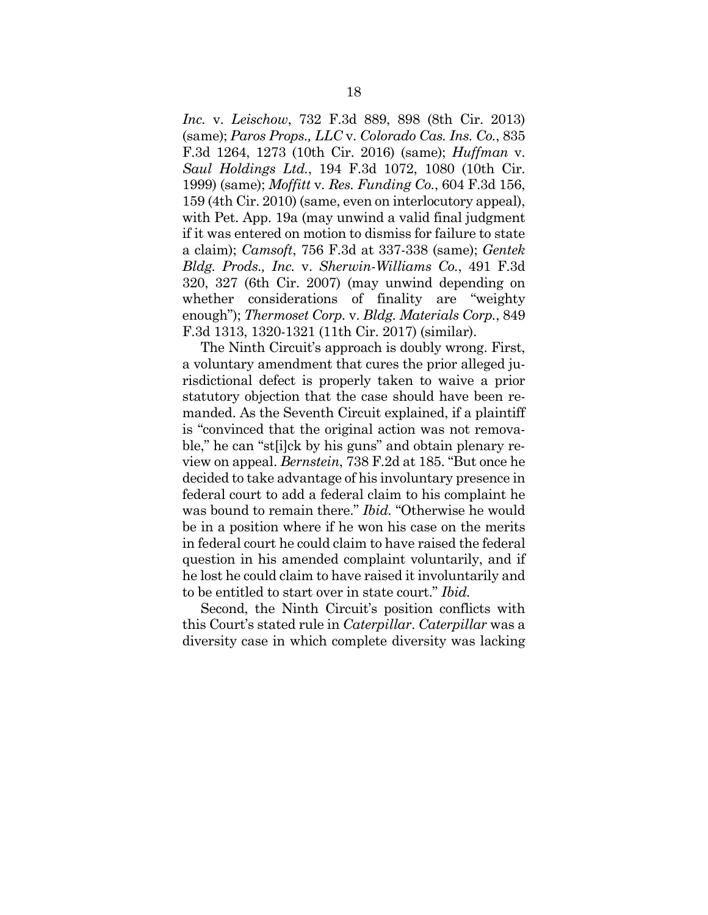*Inc.* v. *Leischow*, 732 F.3d 889, 898 (8th Cir. 2013) (same); *Paros Props., LLC* v. *Colorado Cas. Ins. Co.*, 835 F.3d 1264, 1273 (10th Cir. 2016) (same); *Huffman* v. *Saul Holdings Ltd.*, 194 F.3d 1072, 1080 (10th Cir. 1999) (same); *Moffitt* v. *Res. Funding Co.*, 604 F.3d 156, 159 (4th Cir. 2010) (same, even on interlocutory appeal), with Pet. App. 19a (may unwind a valid final judgment if it was entered on motion to dismiss for failure to state a claim); *Camsoft*, 756 F.3d at 337-338 (same); *Gentek Bldg. Prods., Inc.* v. *Sherwin-Williams Co.*, 491 F.3d 320, 327 (6th Cir. 2007) (may unwind depending on whether considerations of finality are "weighty enough"); *Thermoset Corp.* v. *Bldg. Materials Corp.*, 849 F.3d 1313, 1320-1321 (11th Cir. 2017) (similar).

The Ninth Circuit's approach is doubly wrong. First, a voluntary amendment that cures the prior alleged jurisdictional defect is properly taken to waive a prior statutory objection that the case should have been remanded. As the Seventh Circuit explained, if a plaintiff is "convinced that the original action was not removable," he can "st[i]ck by his guns" and obtain plenary review on appeal. *Bernstein*, 738 F.2d at 185. "But once he decided to take advantage of his involuntary presence in federal court to add a federal claim to his complaint he was bound to remain there." *Ibid.* "Otherwise he would be in a position where if he won his case on the merits in federal court he could claim to have raised the federal question in his amended complaint voluntarily, and if he lost he could claim to have raised it involuntarily and to be entitled to start over in state court." *Ibid.*

Second, the Ninth Circuit's position conflicts with this Court's stated rule in *Caterpillar*. *Caterpillar* was a diversity case in which complete diversity was lacking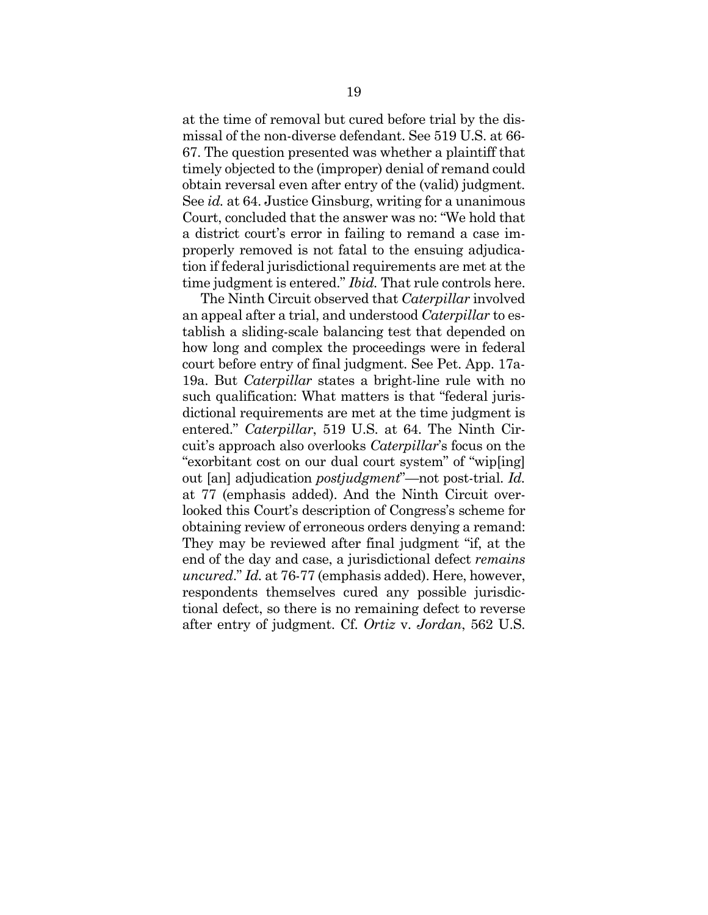at the time of removal but cured before trial by the dismissal of the non-diverse defendant. See 519 U.S. at 66- 67. The question presented was whether a plaintiff that timely objected to the (improper) denial of remand could obtain reversal even after entry of the (valid) judgment. See *id.* at 64. Justice Ginsburg, writing for a unanimous Court, concluded that the answer was no: "We hold that a district court's error in failing to remand a case improperly removed is not fatal to the ensuing adjudication if federal jurisdictional requirements are met at the time judgment is entered." *Ibid.* That rule controls here.

The Ninth Circuit observed that *Caterpillar* involved an appeal after a trial, and understood *Caterpillar* to establish a sliding-scale balancing test that depended on how long and complex the proceedings were in federal court before entry of final judgment. See Pet. App. 17a-19a. But *Caterpillar* states a bright-line rule with no such qualification: What matters is that "federal jurisdictional requirements are met at the time judgment is entered." *Caterpillar*, 519 U.S. at 64. The Ninth Circuit's approach also overlooks *Caterpillar*'s focus on the "exorbitant cost on our dual court system" of "wip[ing] out [an] adjudication *postjudgment*"—not post-trial. *Id.* at 77 (emphasis added). And the Ninth Circuit overlooked this Court's description of Congress's scheme for obtaining review of erroneous orders denying a remand: They may be reviewed after final judgment "if, at the end of the day and case, a jurisdictional defect *remains uncured*." *Id.* at 76-77 (emphasis added). Here, however, respondents themselves cured any possible jurisdictional defect, so there is no remaining defect to reverse after entry of judgment. Cf. *Ortiz* v. *Jordan*, 562 U.S.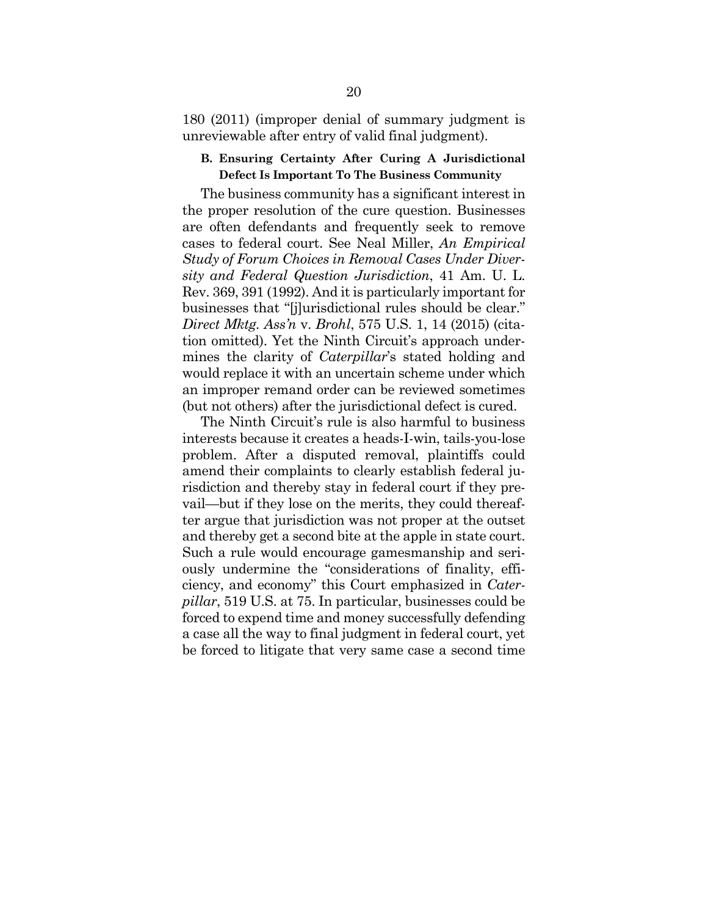180 (2011) (improper denial of summary judgment is unreviewable after entry of valid final judgment).

#### **B. Ensuring Certainty After Curing A Jurisdictional Defect Is Important To The Business Community**

The business community has a significant interest in the proper resolution of the cure question. Businesses are often defendants and frequently seek to remove cases to federal court. See Neal Miller, *An Empirical Study of Forum Choices in Removal Cases Under Diversity and Federal Question Jurisdiction*, 41 Am. U. L. Rev. 369, 391 (1992). And it is particularly important for businesses that "[j]urisdictional rules should be clear." *Direct Mktg. Ass'n* v. *Brohl*, 575 U.S. 1, 14 (2015) (citation omitted). Yet the Ninth Circuit's approach undermines the clarity of *Caterpillar*'s stated holding and would replace it with an uncertain scheme under which an improper remand order can be reviewed sometimes (but not others) after the jurisdictional defect is cured.

The Ninth Circuit's rule is also harmful to business interests because it creates a heads-I-win, tails-you-lose problem. After a disputed removal, plaintiffs could amend their complaints to clearly establish federal jurisdiction and thereby stay in federal court if they prevail—but if they lose on the merits, they could thereafter argue that jurisdiction was not proper at the outset and thereby get a second bite at the apple in state court. Such a rule would encourage gamesmanship and seriously undermine the "considerations of finality, efficiency, and economy" this Court emphasized in *Caterpillar*, 519 U.S. at 75. In particular, businesses could be forced to expend time and money successfully defending a case all the way to final judgment in federal court, yet be forced to litigate that very same case a second time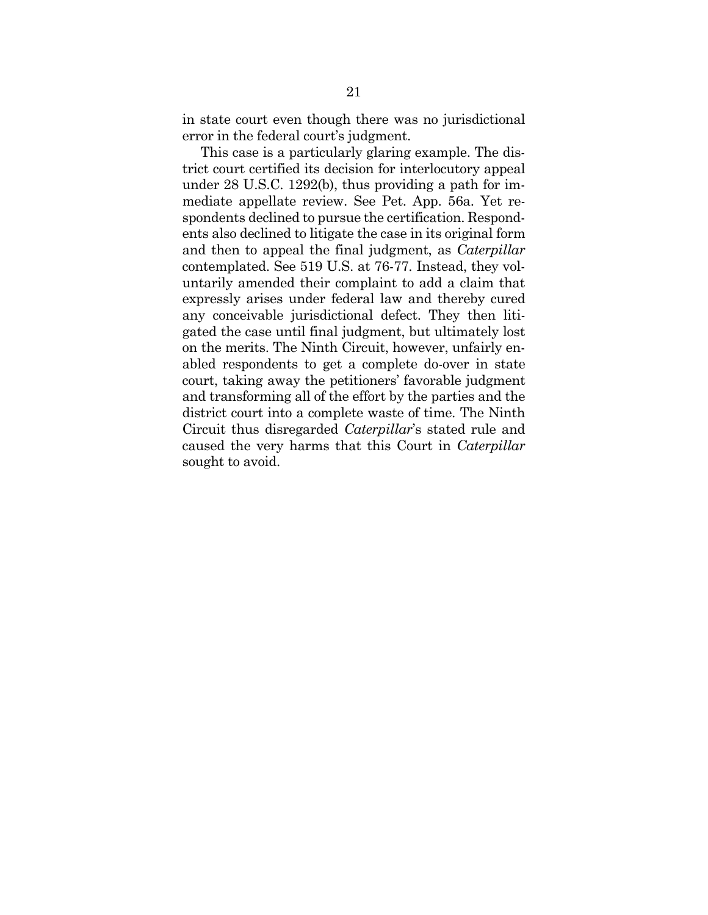in state court even though there was no jurisdictional error in the federal court's judgment.

This case is a particularly glaring example. The district court certified its decision for interlocutory appeal under 28 U.S.C. 1292(b), thus providing a path for immediate appellate review. See Pet. App. 56a. Yet respondents declined to pursue the certification. Respondents also declined to litigate the case in its original form and then to appeal the final judgment, as *Caterpillar* contemplated. See 519 U.S. at 76-77. Instead, they voluntarily amended their complaint to add a claim that expressly arises under federal law and thereby cured any conceivable jurisdictional defect. They then litigated the case until final judgment, but ultimately lost on the merits. The Ninth Circuit, however, unfairly enabled respondents to get a complete do-over in state court, taking away the petitioners' favorable judgment and transforming all of the effort by the parties and the district court into a complete waste of time. The Ninth Circuit thus disregarded *Caterpillar*'s stated rule and caused the very harms that this Court in *Caterpillar* sought to avoid.